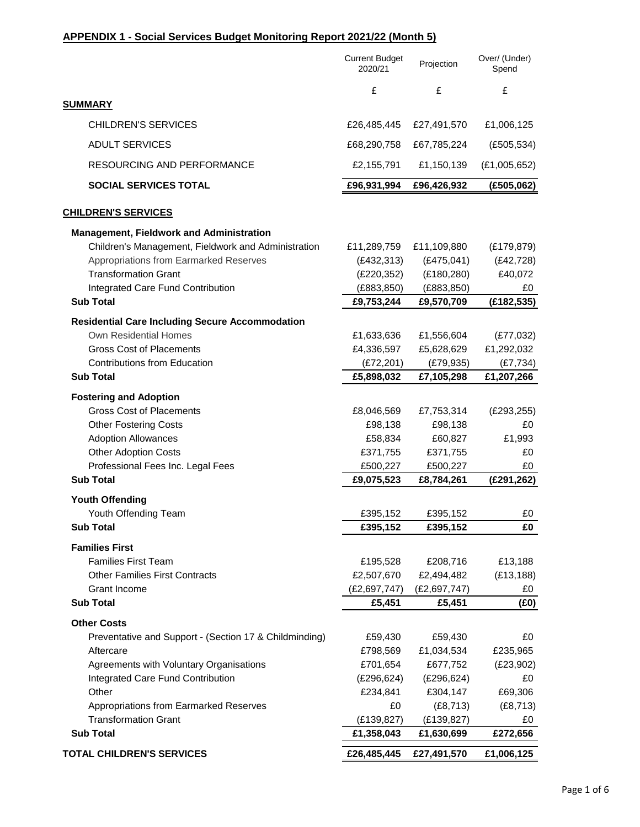## **APPENDIX 1 - Social Services Budget Monitoring Report 2021/22 (Month 5)**

|                                                        | <b>Current Budget</b><br>2020/21 | Projection     | Over/ (Under)<br>Spend |
|--------------------------------------------------------|----------------------------------|----------------|------------------------|
|                                                        | £                                | £              | £                      |
| <b>SUMMARY</b>                                         |                                  |                |                        |
| <b>CHILDREN'S SERVICES</b>                             | £26,485,445                      | £27,491,570    | £1,006,125             |
| <b>ADULT SERVICES</b>                                  | £68,290,758                      | £67,785,224    | (E505, 534)            |
| RESOURCING AND PERFORMANCE                             | £2,155,791                       | £1,150,139     | (E1,005,652)           |
| <b>SOCIAL SERVICES TOTAL</b>                           | £96,931,994                      | £96,426,932    | (E505,062)             |
| <b>CHILDREN'S SERVICES</b>                             |                                  |                |                        |
| <b>Management, Fieldwork and Administration</b>        |                                  |                |                        |
| Children's Management, Fieldwork and Administration    | £11,289,759                      | £11,109,880    | (E179, 879)            |
| Appropriations from Earmarked Reserves                 | (E432, 313)                      | (E475, 041)    | (E42, 728)             |
| <b>Transformation Grant</b>                            | (E220, 352)                      | (E180, 280)    | £40,072                |
| Integrated Care Fund Contribution                      | (E883, 850)                      | (E883, 850)    | £0                     |
| <b>Sub Total</b>                                       | £9,753,244                       | £9,570,709     | (E182, 535)            |
| <b>Residential Care Including Secure Accommodation</b> |                                  |                |                        |
| <b>Own Residential Homes</b>                           | £1,633,636                       | £1,556,604     | (E77,032)              |
| <b>Gross Cost of Placements</b>                        | £4,336,597                       | £5,628,629     | £1,292,032             |
| <b>Contributions from Education</b>                    | (E72, 201)                       | (E79, 935)     | (E7, 734)              |
| <b>Sub Total</b>                                       | £5,898,032                       | £7,105,298     | £1,207,266             |
| <b>Fostering and Adoption</b>                          |                                  |                |                        |
| <b>Gross Cost of Placements</b>                        | £8,046,569                       | £7,753,314     | (E293, 255)            |
| <b>Other Fostering Costs</b>                           | £98,138                          | £98,138        | £0                     |
| <b>Adoption Allowances</b>                             | £58,834                          | £60,827        | £1,993                 |
| <b>Other Adoption Costs</b>                            | £371,755                         | £371,755       | £0                     |
| Professional Fees Inc. Legal Fees                      | £500,227                         | £500,227       | £0                     |
| <b>Sub Total</b>                                       | £9,075,523                       | £8,784,261     | (E291, 262)            |
| <b>Youth Offending</b>                                 |                                  |                |                        |
| Youth Offending Team                                   | £395,152                         | £395,152       | £0                     |
| <b>Sub Total</b>                                       | £395,152                         | £395,152       | £0                     |
| <b>Families First</b>                                  |                                  |                |                        |
| <b>Families First Team</b>                             | £195,528                         | £208,716       | £13,188                |
| <b>Other Families First Contracts</b>                  | £2,507,670                       | £2,494,482     | (E13, 188)             |
| <b>Grant Income</b>                                    | (£2,697,747)                     | (E2, 697, 747) | £0                     |
| <b>Sub Total</b>                                       | £5,451                           | £5,451         | (E0)                   |
| <b>Other Costs</b>                                     |                                  |                |                        |
| Preventative and Support - (Section 17 & Childminding) | £59,430                          | £59,430        | £0                     |
| Aftercare                                              | £798,569                         | £1,034,534     | £235,965               |
| Agreements with Voluntary Organisations                | £701,654                         | £677,752       | (E23,902)              |
| Integrated Care Fund Contribution                      | (E296, 624)                      | (E296, 624)    | £0                     |
| Other                                                  | £234,841                         | £304,147       | £69,306                |
| Appropriations from Earmarked Reserves                 | £0                               | (E8, 713)      | (E8, 713)              |
| <b>Transformation Grant</b>                            | (E139, 827)                      | (E139, 827)    | £0                     |
| <b>Sub Total</b>                                       | £1,358,043                       | £1,630,699     | £272,656               |
| <b>TOTAL CHILDREN'S SERVICES</b>                       | £26,485,445                      | £27,491,570    | £1,006,125             |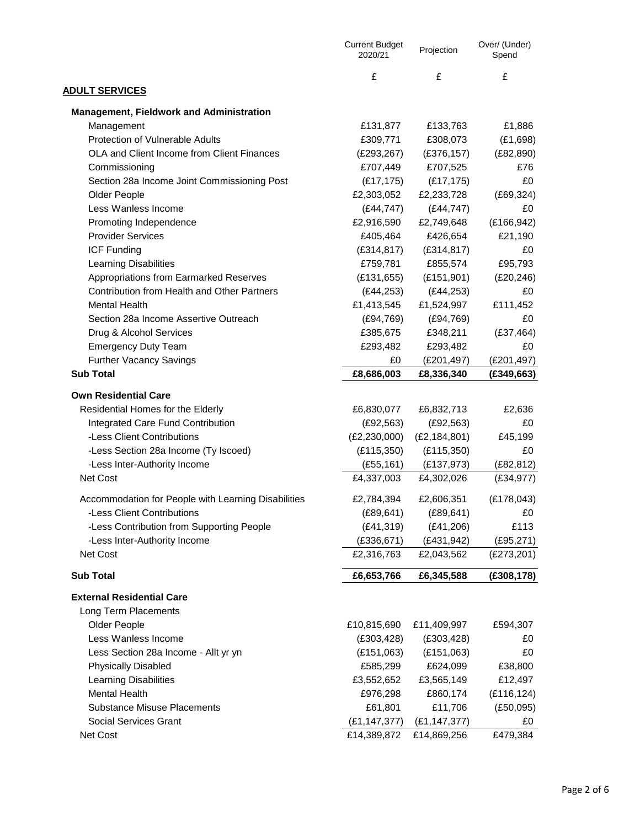|                                                                 | <b>Current Budget</b><br>2020/21 | Projection                | Over/ (Under)<br>Spend |
|-----------------------------------------------------------------|----------------------------------|---------------------------|------------------------|
| <b>ADULT SERVICES</b>                                           | £                                | £                         | £                      |
| <b>Management, Fieldwork and Administration</b>                 |                                  |                           |                        |
| Management                                                      | £131,877                         | £133,763                  | £1,886                 |
| Protection of Vulnerable Adults                                 | £309,771                         | £308,073                  | (E1,698)               |
| OLA and Client Income from Client Finances                      | (E293, 267)                      | (E376, 157)               | (E82, 890)             |
| Commissioning                                                   | £707,449                         | £707,525                  | £76                    |
| Section 28a Income Joint Commissioning Post                     | (E17, 175)                       | (E17, 175)                | £0                     |
| Older People                                                    | £2,303,052                       | £2,233,728                | (E69, 324)             |
| Less Wanless Income                                             | (E44, 747)                       | (E44, 747)                | £0                     |
| Promoting Independence                                          | £2,916,590                       | £2,749,648                | (E166, 942)            |
| <b>Provider Services</b>                                        | £405,464                         | £426,654                  | £21,190                |
| <b>ICF Funding</b>                                              | (E314, 817)                      | (E314, 817)               | £0                     |
| <b>Learning Disabilities</b>                                    | £759,781                         | £855,574                  | £95,793                |
| Appropriations from Earmarked Reserves                          | (E131, 655)                      | (E151, 901)               | (E20, 246)             |
| <b>Contribution from Health and Other Partners</b>              | (E44, 253)                       | (E44, 253)                | £0                     |
| <b>Mental Health</b>                                            | £1,413,545                       | £1,524,997                | £111,452               |
| Section 28a Income Assertive Outreach                           | (E94, 769)                       | (E94, 769)                | £0                     |
| Drug & Alcohol Services                                         | £385,675                         | £348,211                  | (E37, 464)             |
| <b>Emergency Duty Team</b>                                      | £293,482                         | £293,482                  | £0                     |
| <b>Further Vacancy Savings</b>                                  | £0                               | (£201,497)                | (E201, 497)            |
| <b>Sub Total</b>                                                | £8,686,003                       | £8,336,340                | (E349,663)             |
|                                                                 |                                  |                           |                        |
| <b>Own Residential Care</b>                                     |                                  |                           |                        |
| Residential Homes for the Elderly                               | £6,830,077                       | £6,832,713                | £2,636                 |
| Integrated Care Fund Contribution<br>-Less Client Contributions | (E92, 563)                       | (E92, 563)                | £0                     |
|                                                                 | (E2, 230, 000)                   | (E2, 184, 801)            | £45,199                |
| -Less Section 28a Income (Ty Iscoed)                            | (E115,350)                       | (E115,350)                | £0<br>(E82, 812)       |
| -Less Inter-Authority Income<br>Net Cost                        | (E55, 161)<br>£4,337,003         | (E137, 973)<br>£4,302,026 | (E34, 977)             |
|                                                                 |                                  |                           |                        |
| Accommodation for People with Learning Disabilities             | £2,784,394                       | £2,606,351                | (E178,043)             |
| -Less Client Contributions                                      | (E89, 641)                       | (E89, 641)                | £0                     |
| -Less Contribution from Supporting People                       | (E41, 319)                       | (E41, 206)                | £113                   |
| -Less Inter-Authority Income                                    | (E336, 671)                      | (E431, 942)               | (E95, 271)             |
| Net Cost                                                        | £2,316,763                       | £2,043,562                | (E273, 201)            |
| <b>Sub Total</b>                                                | £6,653,766                       | £6,345,588                | (E308, 178)            |
| <b>External Residential Care</b>                                |                                  |                           |                        |
| Long Term Placements                                            |                                  |                           |                        |
| Older People                                                    | £10,815,690                      | £11,409,997               | £594,307               |
| Less Wanless Income                                             | (E303, 428)                      | (E303, 428)               | £0                     |
| Less Section 28a Income - Allt yr yn                            | (E151,063)                       | (E151,063)                | £0                     |
| <b>Physically Disabled</b>                                      | £585,299                         | £624,099                  | £38,800                |
| <b>Learning Disabilities</b>                                    | £3,552,652                       | £3,565,149                | £12,497                |
| <b>Mental Health</b>                                            | £976,298                         | £860,174                  | (E116, 124)            |
| <b>Substance Misuse Placements</b>                              | £61,801                          | £11,706                   | (E50,095)              |
| <b>Social Services Grant</b>                                    | (E1, 147, 377)                   | (E1, 147, 377)            | £0                     |
| Net Cost                                                        | £14,389,872                      | £14,869,256               | £479,384               |
|                                                                 |                                  |                           |                        |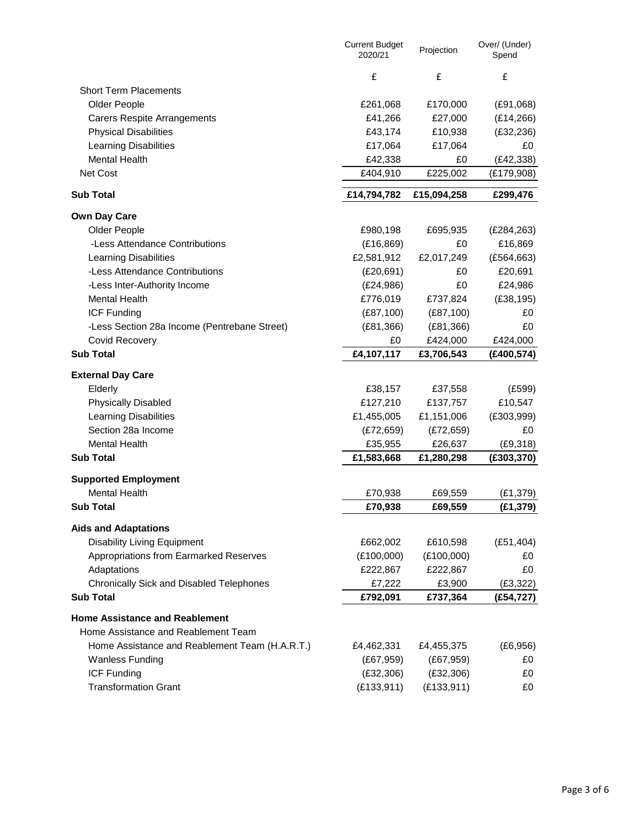|                                                 | <b>Current Budget</b><br>2020/21 | Projection  | Over/ (Under)<br>Spend |
|-------------------------------------------------|----------------------------------|-------------|------------------------|
|                                                 | £                                | £           | £                      |
| <b>Short Term Placements</b>                    |                                  |             |                        |
| Older People                                    | £261,068                         | £170,000    | (E91,068)              |
| <b>Carers Respite Arrangements</b>              | £41,266                          | £27,000     | (E14, 266)             |
| <b>Physical Disabilities</b>                    | £43,174                          | £10,938     | (E32, 236)             |
| <b>Learning Disabilities</b>                    | £17,064                          | £17,064     | £0                     |
| <b>Mental Health</b>                            | £42,338                          | £0          | (E42, 338)             |
| Net Cost                                        | £404,910                         | £225,002    | (£179,908)             |
| <b>Sub Total</b>                                | £14,794,782                      | £15,094,258 | £299,476               |
| <b>Own Day Care</b>                             |                                  |             |                        |
| Older People                                    | £980,198                         | £695,935    | (E284, 263)            |
| -Less Attendance Contributions                  | (E16, 869)                       | £0          | £16,869                |
| <b>Learning Disabilities</b>                    | £2,581,912                       | £2,017,249  | (E564, 663)            |
| -Less Attendance Contributions                  | (E20, 691)                       | £0          | £20,691                |
| -Less Inter-Authority Income                    | (E24,986)                        | £0          | £24,986                |
| <b>Mental Health</b>                            | £776,019                         | £737,824    | (E38, 195)             |
| <b>ICF Funding</b>                              | (E87, 100)                       | (E87, 100)  | £0                     |
| -Less Section 28a Income (Pentrebane Street)    | (E81, 366)                       | (E81, 366)  | £0                     |
| <b>Covid Recovery</b>                           | £0                               | £424,000    | £424,000               |
| <b>Sub Total</b>                                | £4,107,117                       | £3,706,543  | (£400,574)             |
| <b>External Day Care</b>                        |                                  |             |                        |
| Elderly                                         | £38,157                          | £37,558     | (E599)                 |
| <b>Physically Disabled</b>                      | £127,210                         | £137,757    | £10,547                |
| <b>Learning Disabilities</b>                    | £1,455,005                       | £1,151,006  | (E303,999)             |
| Section 28a Income                              | (E72, 659)                       | (E72, 659)  | £0                     |
| <b>Mental Health</b>                            | £35,955                          | £26,637     | (E9, 318)              |
| <b>Sub Total</b>                                | £1,583,668                       | £1,280,298  | (E303, 370)            |
| <b>Supported Employment</b>                     |                                  |             |                        |
| <b>Mental Health</b>                            | £70,938                          | £69,559     | (E1, 379)              |
| <b>Sub Total</b>                                | £70,938                          | £69,559     | (£1,379)               |
| <b>Aids and Adaptations</b>                     |                                  |             |                        |
| <b>Disability Living Equipment</b>              | £662,002                         | £610,598    | (E51, 404)             |
| Appropriations from Earmarked Reserves          | (E100,000)                       | (E100,000)  | £0                     |
| Adaptations                                     | £222,867                         | £222,867    | £0                     |
| <b>Chronically Sick and Disabled Telephones</b> | £7,222                           | £3,900      | (E3, 322)              |
| <b>Sub Total</b>                                | £792,091                         | £737,364    | (E54, 727)             |
|                                                 |                                  |             |                        |
| <b>Home Assistance and Reablement</b>           |                                  |             |                        |
| Home Assistance and Reablement Team             |                                  |             |                        |
| Home Assistance and Reablement Team (H.A.R.T.)  | £4,462,331                       | £4,455,375  | (E6, 956)              |
| <b>Wanless Funding</b>                          | (E67, 959)                       | (E67, 959)  | £0                     |
| <b>ICF Funding</b>                              | (E32, 306)                       | (E32, 306)  | £0                     |
| <b>Transformation Grant</b>                     | (E133, 911)                      | (E133, 911) | £0                     |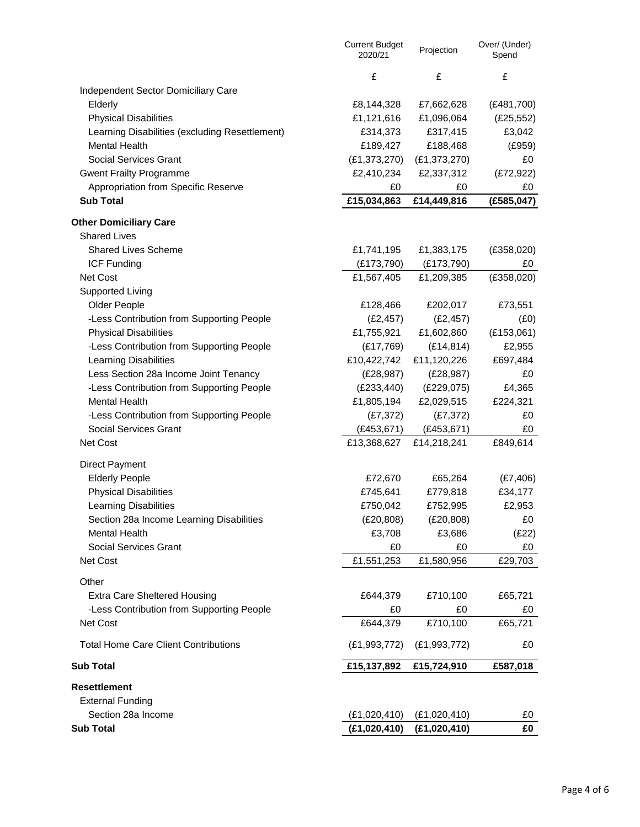|                                                | <b>Current Budget</b><br>2020/21 | Projection         | Over/ (Under)<br>Spend |
|------------------------------------------------|----------------------------------|--------------------|------------------------|
|                                                | £                                | $\pmb{\mathsf{f}}$ | £                      |
| Independent Sector Domiciliary Care            |                                  |                    |                        |
| Elderly                                        | £8,144,328                       | £7,662,628         | (E481,700)             |
| <b>Physical Disabilities</b>                   | £1,121,616                       | £1,096,064         | (E25, 552)             |
| Learning Disabilities (excluding Resettlement) | £314,373                         | £317,415           | £3,042                 |
| <b>Mental Health</b>                           | £189,427                         | £188,468           | (E959)                 |
| <b>Social Services Grant</b>                   | (E1, 373, 270)                   | (E1, 373, 270)     | £0                     |
| <b>Gwent Frailty Programme</b>                 | £2,410,234                       | £2,337,312         | (E72, 922)             |
| Appropriation from Specific Reserve            | £0                               | £0                 | £0                     |
| <b>Sub Total</b>                               | £15,034,863                      | £14,449,816        | (E585, 047)            |
| <b>Other Domiciliary Care</b>                  |                                  |                    |                        |
| <b>Shared Lives</b>                            |                                  |                    |                        |
| <b>Shared Lives Scheme</b>                     | £1,741,195                       | £1,383,175         | (E358,020)             |
| <b>ICF Funding</b>                             | (E173,790)                       | (E173, 790)        | £0                     |
| Net Cost                                       | £1,567,405                       | £1,209,385         | (E358,020)             |
| <b>Supported Living</b>                        |                                  |                    |                        |
| Older People                                   | £128,466                         | £202,017           | £73,551                |
| -Less Contribution from Supporting People      | (E2, 457)                        | (E2, 457)          | (E0)                   |
| <b>Physical Disabilities</b>                   | £1,755,921                       | £1,602,860         | (E153,061)             |
| -Less Contribution from Supporting People      | (E17,769)                        | (E14, 814)         | £2,955                 |
| <b>Learning Disabilities</b>                   | £10,422,742                      | £11,120,226        | £697,484               |
| Less Section 28a Income Joint Tenancy          | (E28, 987)                       | (E28, 987)         | £0                     |
| -Less Contribution from Supporting People      | (E233, 440)                      | (E229,075)         | £4,365                 |
| <b>Mental Health</b>                           | £1,805,194                       | £2,029,515         | £224,321               |
| -Less Contribution from Supporting People      | (E7, 372)                        | (E7, 372)          | £0                     |
| <b>Social Services Grant</b>                   | (E453, 671)                      | (E453, 671)        | £0                     |
| Net Cost                                       | £13,368,627                      | £14,218,241        | £849,614               |
| <b>Direct Payment</b>                          |                                  |                    |                        |
| <b>Elderly People</b>                          | £72,670                          | £65,264            | (E7, 406)              |
| <b>Physical Disabilities</b>                   | £745,641                         | £779,818           | £34,177                |
| <b>Learning Disabilities</b>                   | £750,042                         | £752,995           | £2,953                 |
| Section 28a Income Learning Disabilities       | (E20, 808)                       | (E20, 808)         | £0                     |
| <b>Mental Health</b>                           | £3,708                           | £3,686             | (E22)                  |
| <b>Social Services Grant</b>                   | £0                               | £0                 | £0                     |
| Net Cost                                       | £1,551,253                       | £1,580,956         | £29,703                |
| Other                                          |                                  |                    |                        |
| <b>Extra Care Sheltered Housing</b>            | £644,379                         | £710,100           | £65,721                |
| -Less Contribution from Supporting People      | £0                               | £0                 | £0                     |
| Net Cost                                       | £644,379                         | £710,100           | £65,721                |
| <b>Total Home Care Client Contributions</b>    | (E1, 993, 772)                   | (E1, 993, 772)     | £0                     |
| <b>Sub Total</b>                               | £15,137,892                      | £15,724,910        | £587,018               |
| <b>Resettlement</b>                            |                                  |                    |                        |
| <b>External Funding</b>                        |                                  |                    |                        |
| Section 28a Income                             | (E1,020,410)                     | (E1,020,410)       | £0                     |
| <b>Sub Total</b>                               | (E1,020,410)                     | (E1,020,410)       | £0                     |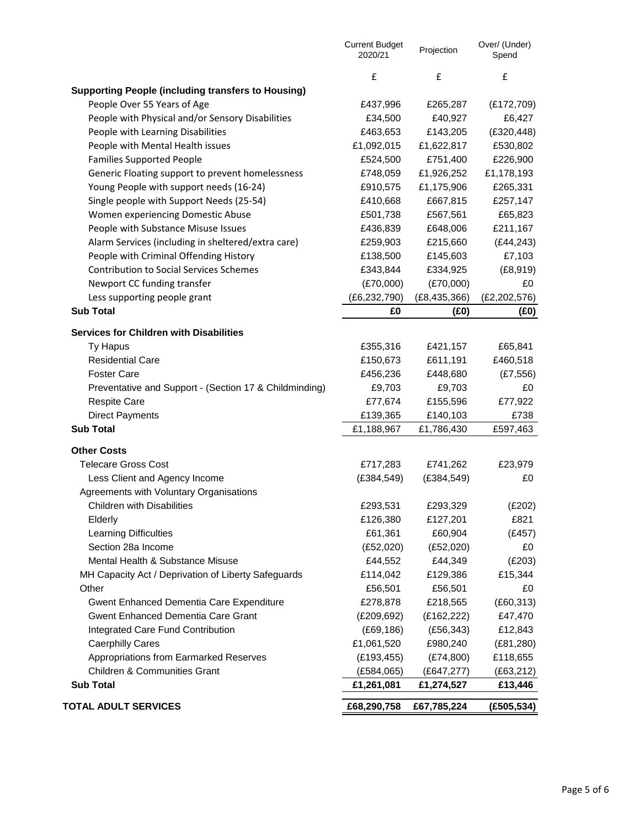|                                                           | <b>Current Budget</b><br>2020/21 | Projection     | Over/ (Under)<br>Spend |
|-----------------------------------------------------------|----------------------------------|----------------|------------------------|
|                                                           | £                                | £              | £                      |
| <b>Supporting People (including transfers to Housing)</b> |                                  |                |                        |
| People Over 55 Years of Age                               | £437,996                         | £265,287       | (E172,709)             |
| People with Physical and/or Sensory Disabilities          | £34,500                          | £40,927        | £6,427                 |
| People with Learning Disabilities                         | £463,653                         | £143,205       | (E320, 448)            |
| People with Mental Health issues                          | £1,092,015                       | £1,622,817     | £530,802               |
| <b>Families Supported People</b>                          | £524,500                         | £751,400       | £226,900               |
| Generic Floating support to prevent homelessness          | £748,059                         | £1,926,252     | £1,178,193             |
| Young People with support needs (16-24)                   | £910,575                         | £1,175,906     | £265,331               |
| Single people with Support Needs (25-54)                  | £410,668                         | £667,815       | £257,147               |
| Women experiencing Domestic Abuse                         | £501,738                         | £567,561       | £65,823                |
| People with Substance Misuse Issues                       | £436,839                         | £648,006       | £211,167               |
| Alarm Services (including in sheltered/extra care)        | £259,903                         | £215,660       | (E44, 243)             |
| People with Criminal Offending History                    | £138,500                         | £145,603       | £7,103                 |
| <b>Contribution to Social Services Schemes</b>            | £343,844                         | £334,925       | (E8, 919)              |
| Newport CC funding transfer                               | (E70,000)                        | (E70,000)      | £0                     |
| Less supporting people grant                              | (E6, 232, 790)                   | (E8, 435, 366) | (E2, 202, 576)         |
| <b>Sub Total</b>                                          | £0                               | (E0)           | (£0)                   |
|                                                           |                                  |                |                        |
| <b>Services for Children with Disabilities</b>            |                                  |                |                        |
| Ty Hapus                                                  | £355,316                         | £421,157       | £65,841                |
| <b>Residential Care</b>                                   | £150,673                         | £611,191       | £460,518               |
| <b>Foster Care</b>                                        | £456,236                         | £448,680       | (E7, 556)              |
| Preventative and Support - (Section 17 & Childminding)    | £9,703                           | £9,703         | £0                     |
| <b>Respite Care</b>                                       | £77,674                          | £155,596       | £77,922                |
| <b>Direct Payments</b>                                    | £139,365                         | £140,103       | £738                   |
| <b>Sub Total</b>                                          | £1,188,967                       | £1,786,430     | £597,463               |
| <b>Other Costs</b>                                        |                                  |                |                        |
| <b>Telecare Gross Cost</b>                                | £717,283                         | £741,262       | £23,979                |
| Less Client and Agency Income                             | (E384, 549)                      | (E384, 549)    | £0                     |
| Agreements with Voluntary Organisations                   |                                  |                |                        |
| <b>Children with Disabilities</b>                         | £293,531                         | £293,329       | (E202)                 |
| Elderly                                                   | £126,380                         | £127,201       | £821                   |
| <b>Learning Difficulties</b>                              | £61,361                          | £60,904        | (E457)                 |
| Section 28a Income                                        | (E52,020)                        | (E52,020)      | £0                     |
| Mental Health & Substance Misuse                          | £44,552                          | £44,349        | (E203)                 |
| MH Capacity Act / Deprivation of Liberty Safeguards       | £114,042                         | £129,386       | £15,344                |
| Other                                                     | £56,501                          | £56,501        | £0                     |
| Gwent Enhanced Dementia Care Expenditure                  | £278,878                         | £218,565       | (E60, 313)             |
| <b>Gwent Enhanced Dementia Care Grant</b>                 | (E209,692)                       | (E162, 222)    | £47,470                |
| Integrated Care Fund Contribution                         | (E69, 186)                       | (E56, 343)     | £12,843                |
| <b>Caerphilly Cares</b>                                   | £1,061,520                       | £980,240       | (E81,280)              |
| Appropriations from Earmarked Reserves                    | (E193, 455)                      | (E74,800)      | £118,655               |
| <b>Children &amp; Communities Grant</b>                   | (E584,065)                       | (E647, 277)    | (E63, 212)             |
| <b>Sub Total</b>                                          | £1,261,081                       | £1,274,527     | £13,446                |
| <b>TOTAL ADULT SERVICES</b>                               | £68,290,758                      | £67,785,224    | (E505, 534)            |
|                                                           |                                  |                |                        |